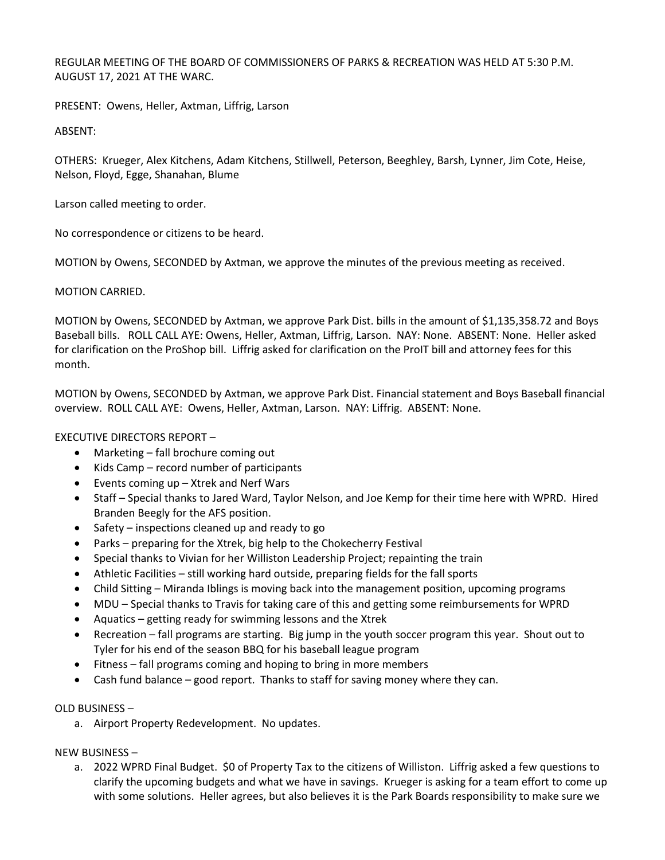REGULAR MEETING OF THE BOARD OF COMMISSIONERS OF PARKS & RECREATION WAS HELD AT 5:30 P.M. AUGUST 17, 2021 AT THE WARC.

PRESENT: Owens, Heller, Axtman, Liffrig, Larson

ABSENT:

OTHERS: Krueger, Alex Kitchens, Adam Kitchens, Stillwell, Peterson, Beeghley, Barsh, Lynner, Jim Cote, Heise, Nelson, Floyd, Egge, Shanahan, Blume

Larson called meeting to order.

No correspondence or citizens to be heard.

MOTION by Owens, SECONDED by Axtman, we approve the minutes of the previous meeting as received.

MOTION CARRIED.

MOTION by Owens, SECONDED by Axtman, we approve Park Dist. bills in the amount of \$1,135,358.72 and Boys Baseball bills. ROLL CALL AYE: Owens, Heller, Axtman, Liffrig, Larson. NAY: None. ABSENT: None. Heller asked for clarification on the ProShop bill. Liffrig asked for clarification on the ProIT bill and attorney fees for this month.

MOTION by Owens, SECONDED by Axtman, we approve Park Dist. Financial statement and Boys Baseball financial overview. ROLL CALL AYE: Owens, Heller, Axtman, Larson. NAY: Liffrig. ABSENT: None.

### EXECUTIVE DIRECTORS REPORT –

- Marketing fall brochure coming out
- Kids Camp record number of participants
- Events coming up Xtrek and Nerf Wars
- Staff Special thanks to Jared Ward, Taylor Nelson, and Joe Kemp for their time here with WPRD. Hired Branden Beegly for the AFS position.
- Safety inspections cleaned up and ready to go
- Parks preparing for the Xtrek, big help to the Chokecherry Festival
- Special thanks to Vivian for her Williston Leadership Project; repainting the train
- Athletic Facilities still working hard outside, preparing fields for the fall sports
- Child Sitting Miranda Iblings is moving back into the management position, upcoming programs
- MDU Special thanks to Travis for taking care of this and getting some reimbursements for WPRD
- Aquatics getting ready for swimming lessons and the Xtrek
- Recreation fall programs are starting. Big jump in the youth soccer program this year. Shout out to Tyler for his end of the season BBQ for his baseball league program
- Fitness fall programs coming and hoping to bring in more members
- Cash fund balance good report. Thanks to staff for saving money where they can.

### OLD BUSINESS –

a. Airport Property Redevelopment. No updates.

NEW BUSINESS –

a. 2022 WPRD Final Budget. \$0 of Property Tax to the citizens of Williston. Liffrig asked a few questions to clarify the upcoming budgets and what we have in savings. Krueger is asking for a team effort to come up with some solutions. Heller agrees, but also believes it is the Park Boards responsibility to make sure we